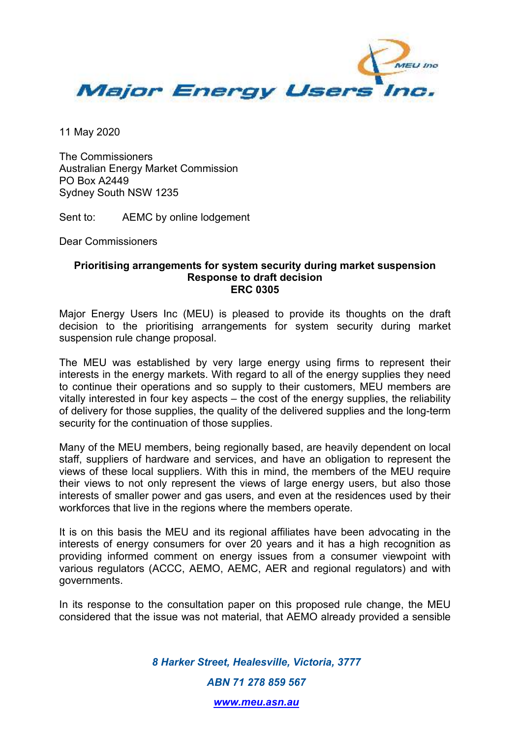

11 May 2020

The Commissioners Australian Energy Market Commission PO Box A2449 Sydney South NSW 1235

Sent to: AEMC by online lodgement

Dear Commissioners

## **Prioritising arrangements for system security during market suspension Response to draft decision ERC 0305**

Major Energy Users Inc (MEU) is pleased to provide its thoughts on the draft decision to the prioritising arrangements for system security during market suspension rule change proposal.

The MEU was established by very large energy using firms to represent their interests in the energy markets. With regard to all of the energy supplies they need to continue their operations and so supply to their customers, MEU members are vitally interested in four key aspects – the cost of the energy supplies, the reliability of delivery for those supplies, the quality of the delivered supplies and the long-term security for the continuation of those supplies.

Many of the MEU members, being regionally based, are heavily dependent on local staff, suppliers of hardware and services, and have an obligation to represent the views of these local suppliers. With this in mind, the members of the MEU require their views to not only represent the views of large energy users, but also those interests of smaller power and gas users, and even at the residences used by their workforces that live in the regions where the members operate.

It is on this basis the MEU and its regional affiliates have been advocating in the interests of energy consumers for over 20 years and it has a high recognition as providing informed comment on energy issues from a consumer viewpoint with various regulators (ACCC, AEMO, AEMC, AER and regional regulators) and with governments.

In its response to the consultation paper on this proposed rule change, the MEU considered that the issue was not material, that AEMO already provided a sensible

> *8 Harker Street, Healesville, Victoria, 3777 ABN 71 278 859 567*

> > *www.meu.asn.au*